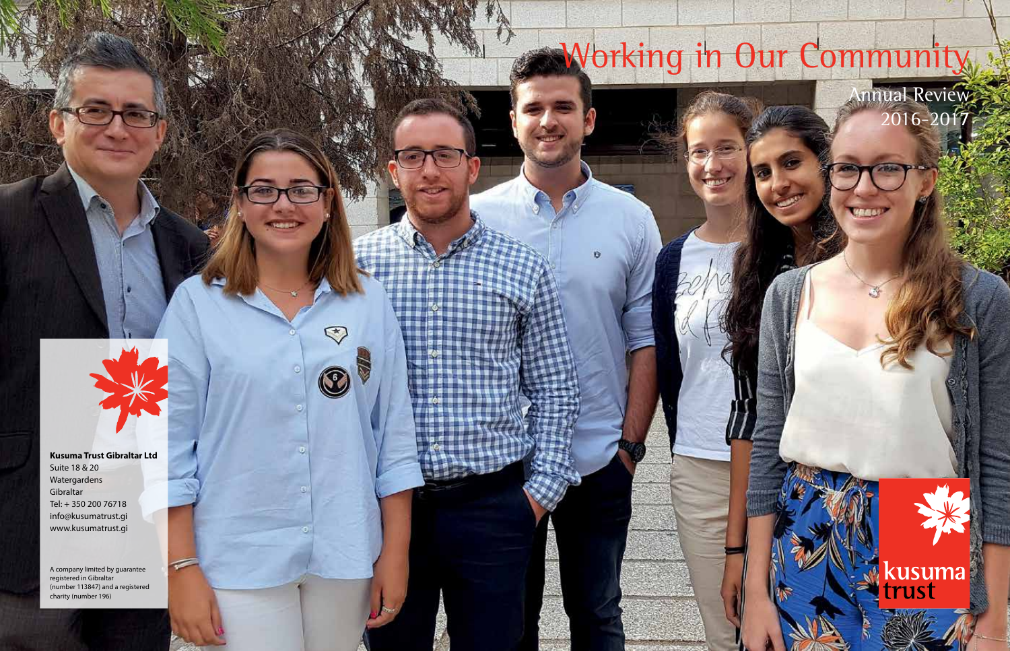# Working in Our Community

Annual Review 2016-2017

kusuma<br>trust

**Kusuma Trust Gibraltar Ltd**  Suite 18 & 20 Watergardens Gibraltar Tel: + 350 200 76718 info@kusumatrust.gi www.kusumatrust.gi

 $\heartsuit$ 

 $\circledcirc$ 

A company limited by guarantee registered in Gibraltar (number 113847) and a registered charity (number 196)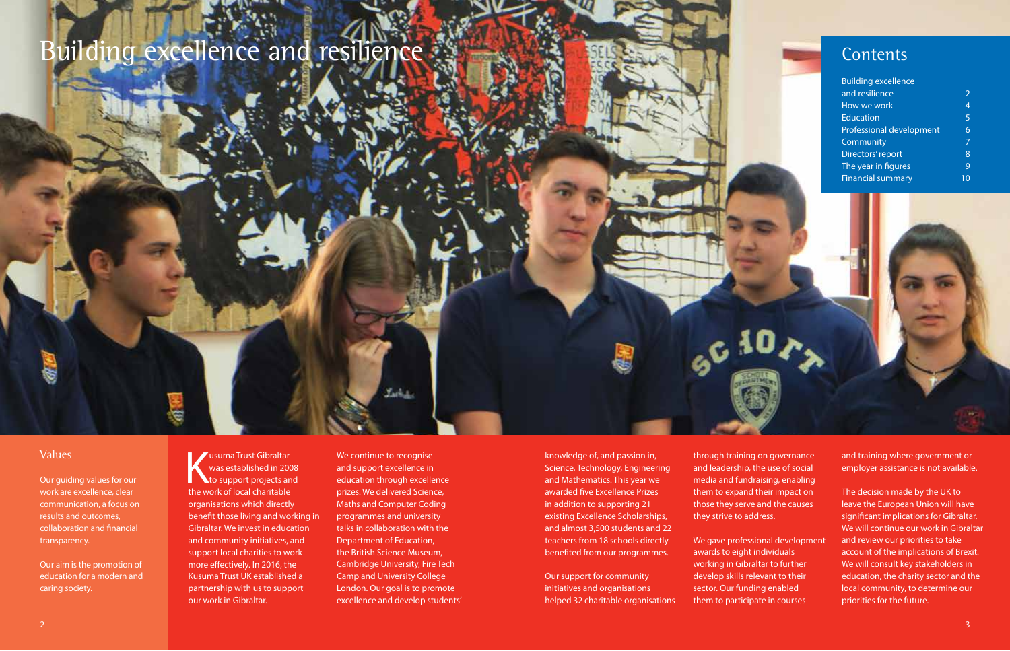## Building excellence and resilience



| <b>Building excellence</b> |                |
|----------------------------|----------------|
| and resilience             | $\mathcal{P}$  |
| How we work                | $\overline{4}$ |
| Education                  | 5              |
| Professional development   | 6              |
| Community                  | 7              |
| Directors' report          | 8              |
| The year in figures        | $\overline{Q}$ |
| <b>Financial summary</b>   |                |

#### Values

Our guiding values for our work are excellence, clear communication, a focus on results and outcomes, collaboration and financial transparency.

Our aim is the promotion of education for a modern and caring society.

**Kusuma Trust Gibraltar<br>
was established in 2008**<br>
to support projects and<br>
the work of local charitable was established in 2008 the work of local charitable organisations which directly benefit those living and working in Gibraltar. We invest in education and community initiatives, and support local charities to work more effectively. In 2016, the Kusuma Trust UK established a partnership with us to support our work in Gibraltar.

We continue to recognise and support excellence in education through excellence prizes. We delivered Science, Maths and Computer Coding programmes and university talks in collaboration with the Department of Education, the British Science Museum, Cambridge University, Fire Tech Camp and University College London. Our goal is to promote excellence and develop students'

knowledge of, and passion in, Science, Technology, Engineering and Mathematics. This year we awarded five Excellence Prizes in addition to supporting 21 existing Excellence Scholarships, and almost 3,500 students and 22 teachers from 18 schools directly benefited from our programmes.

Our support for community initiatives and organisations helped 32 charitable organisations through training on governance and leadership, the use of social media and fundraising, enabling them to expand their impact on those they serve and the causes they strive to address.

We gave professional development awards to eight individuals working in Gibraltar to further develop skills relevant to their sector. Our funding enabled them to participate in courses

and training where government or employer assistance is not available.

The decision made by the UK to leave the European Union will have significant implications for Gibraltar. We will continue our work in Gibraltar and review our priorities to take account of the implications of Brexit. We will consult key stakeholders in education, the charity sector and the local community, to determine our priorities for the future.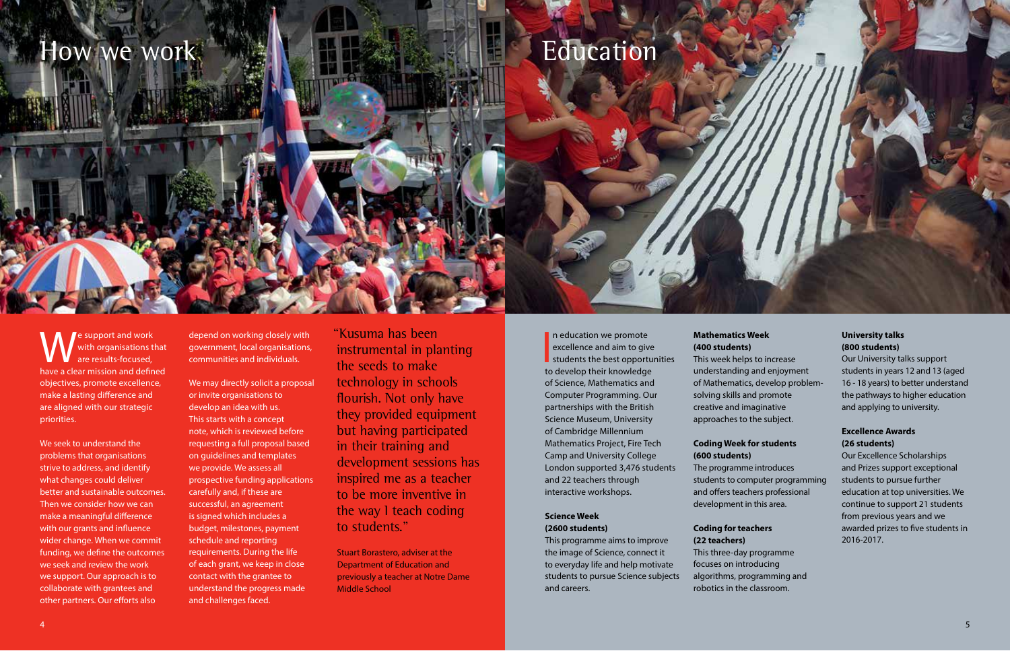## How we work  $\blacksquare$  Here  $\blacksquare$  Education

e support and work with organisations that are results-focused, have a clear mission and defined objectives, promote excellence, make a lasting difference and are aligned with our strategic priorities.

We seek to understand the problems that organisations strive to address, and identify what changes could deliver better and sustainable outcomes. Then we consider how we can make a meaningful difference with our grants and influence wider change. When we commit funding, we define the outcomes we seek and review the work we support. Our approach is to collaborate with grantees and other partners. Our efforts also

depend on working closely with government, local organisations, communities and individuals.

We may directly solicit a proposal or invite organisations to develop an idea with us. This starts with a concept note, which is reviewed before requesting a full proposal based on guidelines and templates we provide. We assess all prospective funding applications carefully and, if these are successful, an agreement is signed which includes a budget, milestones, payment schedule and reporting requirements. During the life of each grant, we keep in close contact with the grantee to understand the progress made and challenges faced.

"Kusuma has been instrumental in planting the seeds to make technology in schools flourish. Not only have they provided equipment but having participated in their training and development sessions has inspired me as a teacher to be more inventive in the way I teach coding to students."

Stuart Borastero, adviser at the Department of Education and previously a teacher at Notre Dame Middle School

In education we promote<br>excellence and aim to give<br>students the best opportunities<br>to dovelop their knowledge n education we promote excellence and aim to give to develop their knowledge of Science, Mathematics and Computer Programming. Our partnerships with the British Science Museum, University of Cambridge Millennium Mathematics Project, Fire Tech Camp and University College London supported 3,476 students and 22 teachers through interactive workshops.

#### **Science Week (2600 students)**

This programme aims to improve the image of Science, connect it to everyday life and help motivate students to pursue Science subjects and careers.

#### **Mathematics Week (400 students)**

This week helps to increase understanding and enjoyment of Mathematics, develop problemsolving skills and promote creative and imaginative approaches to the subject.

#### **Coding Week for students (600 students)**

The programme introduces students to computer programming and offers teachers professional development in this area.

### **Coding for teachers**

**(22 teachers)** This three-day programme focuses on introducing algorithms, programming and robotics in the classroom.

#### **University talks (800 students)**

Our University talks support students in years 12 and 13 (aged 16 - 18 years) to better understand the pathways to higher education and applying to university.

#### **Excellence Awards (26 students)**

Our Excellence Scholarships and Prizes support exceptional students to pursue further education at top universities. We continue to support 21 students from previous years and we awarded prizes to five students in 2016-2017.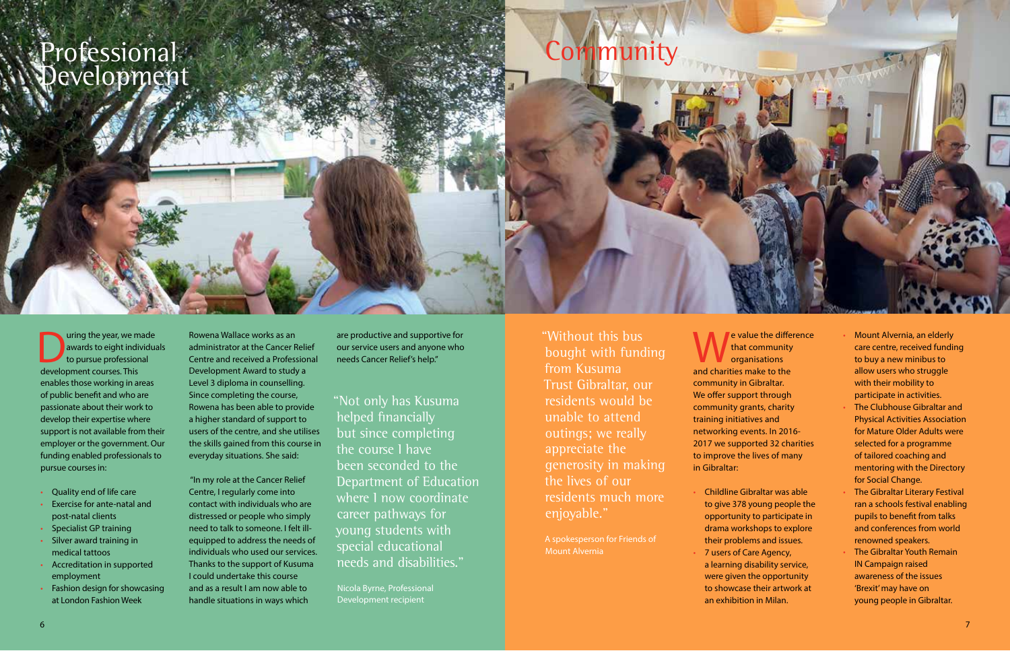Professional Sommunity<br>Development

uring the year, we made<br>awards to eight individual<br>development courses This awards to eight individuals to pursue professional development courses. This enables those working in areas of public benefit and who are passionate about their work to develop their expertise where support is not available from their employer or the government. Our funding enabled professionals to pursue courses in:

- Quality end of life care
- Exercise for ante-natal and post-natal clients
- Specialist GP training
- Silver award training in medical tattoos
- Accreditation in supported employment
- Fashion design for showcasing at London Fashion Week

Rowena Wallace works as an administrator at the Cancer Relief Centre and received a Professional Development Award to study a Level 3 diploma in counselling. Since completing the course, Rowena has been able to provide a higher standard of support to users of the centre, and she utilises the skills gained from this course in everyday situations. She said:

 "In my role at the Cancer Relief Centre, I regularly come into contact with individuals who are distressed or people who simply need to talk to someone. I felt illequipped to address the needs of individuals who used our services. Thanks to the support of Kusuma I could undertake this course and as a result I am now able to handle situations in ways which

are productive and supportive for our service users and anyone who needs Cancer Relief's help."

"Not only has Kusuma helped financially but since completing the course I have been seconded to the Department of Education where I now coordinate career pathways for young students with special educational needs and disabilities."

Nicola Byrne, Professional Development recipient

"Without this bus bought with funding from Kusuma Trust Gibraltar, our residents would be unable to attend outings; we really appreciate the generosity in making the lives of our residents much more enjoyable."

A spokesperson for Friends of Mount Alvernia

**e** value the difference that community organisations and charities make to the community in Gibraltar. We offer support through community grants, charity training initiatives and networking events. In 2016- 2017 we supported 32 charities to improve the lives of many in Gibraltar:

- Childline Gibraltar was able to give 378 young people the opportunity to participate in drama workshops to explore their problems and issues. • 7 users of Care Agency,
- a learning disability service, were given the opportunity to showcase their artwork at an exhibition in Milan.
- Mount Alvernia, an elderly care centre, received funding to buy a new minibus to allow users who struggle with their mobility to participate in activities. • The Clubhouse Gibraltar and Physical Activities Association for Mature Older Adults were selected for a programme of tailored coaching and mentoring with the Directory for Social Change.
- The Gibraltar Literary Festival ran a schools festival enabling pupils to benefit from talks and conferences from world renowned speakers.
- The Gibraltar Youth Remain IN Campaign raised awareness of the issues 'Brexit' may have on young people in Gibraltar.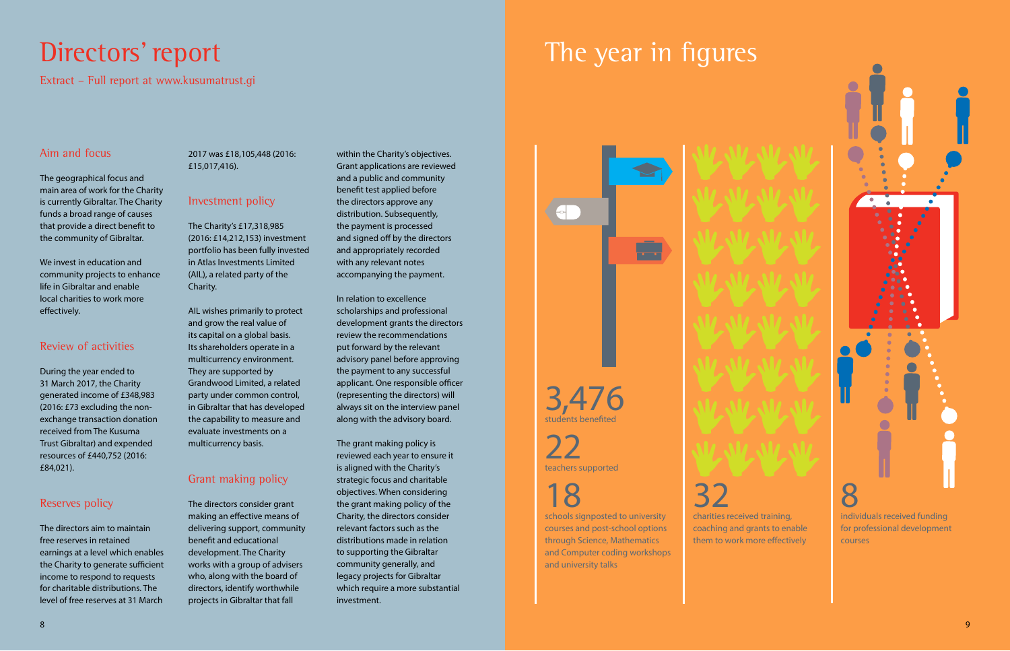Extract – Full report at www.kusumatrust.gi

#### Aim and focus

The geographical focus and main area of work for the Charity is currently Gibraltar. The Charity funds a broad range of causes that provide a direct benefit to the community of Gibraltar.

We invest in education and community projects to enhance life in Gibraltar and enable local charities to work more effectively.

#### Review of activities

During the year ended to 31 March 2017, the Charity generated income of £348,983 (2016: £73 excluding the nonexchange transaction donation received from The Kusuma Trust Gibraltar) and expended resources of £440,752 (2016: £84,021).

#### Reserves policy

The directors aim to maintain free reserves in retained earnings at a level which enables the Charity to generate sufficient income to respond to requests for charitable distributions. The level of free reserves at 31 March

#### 2017 was £18,105,448 (2016: £15,017,416).

#### Investment policy

The Charity's £17,318,985 (2016: £14,212,153) investment portfolio has been fully invested in Atlas Investments Limited (AIL), a related party of the Charity.

AIL wishes primarily to protect and grow the real value of its capital on a global basis. Its shareholders operate in a multicurrency environment. They are supported by Grandwood Limited, a related party under common control, in Gibraltar that has developed the capability to measure and evaluate investments on a multicurrency basis.

#### Grant making policy

The directors consider grant making an effective means of delivering support, community benefit and educational development. The Charity works with a group of advisers who, along with the board of directors, identify worthwhile projects in Gibraltar that fall

within the Charity's objectives. Grant applications are reviewed and a public and community benefit test applied before the directors approve any distribution. Subsequently, the payment is processed and signed off by the directors and appropriately recorded with any relevant notes accompanying the payment.

In relation to excellence scholarships and professional development grants the directors review the recommendations put forward by the relevant advisory panel before approving the payment to any successful applicant. One responsible officer (representing the directors) will always sit on the interview panel along with the advisory board.

The grant making policy is reviewed each year to ensure it is aligned with the Charity's strategic focus and charitable objectives. When considering the grant making policy of the Charity, the directors consider relevant factors such as the distributions made in relation to supporting the Gibraltar community generally, and legacy projects for Gibraltar which require a more substantial investment.



3,476 students benefite

# 22 teachers supported

## 18

schools signposted to university courses and post-school options through Science, Mathematics and Computer coding workshops and university talks

32 charities received training, coaching and grants to enable

them to work more effectively courses